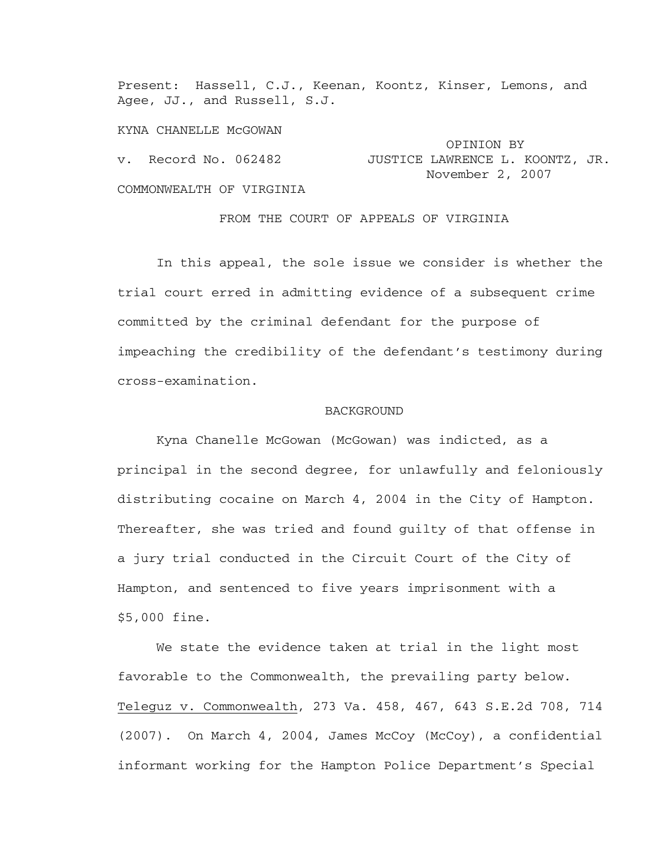Present: Hassell, C.J., Keenan, Koontz, Kinser, Lemons, and Agee, JJ., and Russell, S.J.

KYNA CHANELLE McGOWAN

 OPINION BY v. Record No. 062482 JUSTICE LAWRENCE L. KOONTZ, JR. November 2, 2007

COMMONWEALTH OF VIRGINIA

FROM THE COURT OF APPEALS OF VIRGINIA

In this appeal, the sole issue we consider is whether the trial court erred in admitting evidence of a subsequent crime committed by the criminal defendant for the purpose of impeaching the credibility of the defendant's testimony during cross-examination.

## BACKGROUND

Kyna Chanelle McGowan (McGowan) was indicted, as a principal in the second degree, for unlawfully and feloniously distributing cocaine on March 4, 2004 in the City of Hampton. Thereafter, she was tried and found guilty of that offense in a jury trial conducted in the Circuit Court of the City of Hampton, and sentenced to five years imprisonment with a \$5,000 fine.

We state the evidence taken at trial in the light most favorable to the Commonwealth, the prevailing party below. Teleguz v. Commonwealth, 273 Va. 458, 467, 643 S.E.2d 708, 714 (2007). On March 4, 2004, James McCoy (McCoy), a confidential informant working for the Hampton Police Department's Special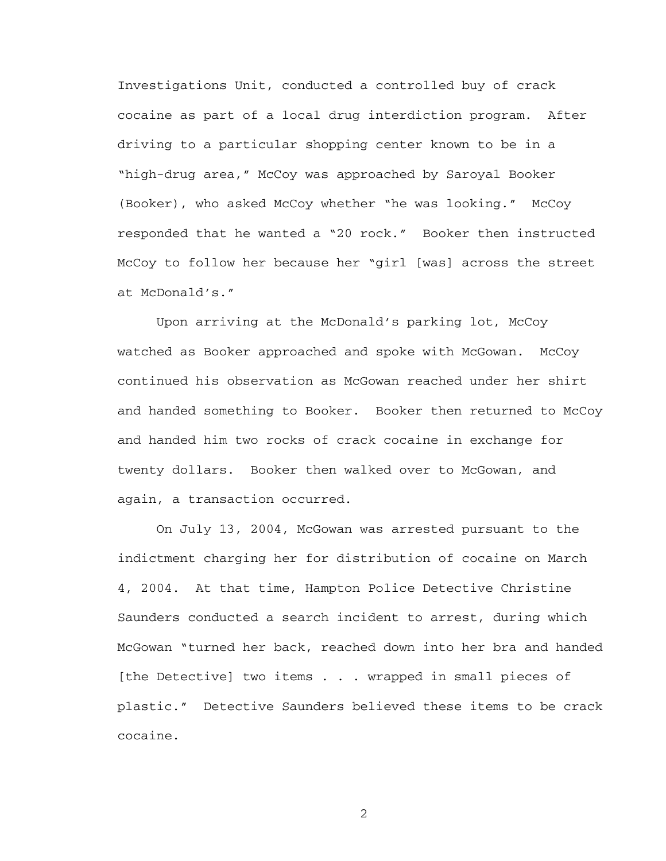Investigations Unit, conducted a controlled buy of crack cocaine as part of a local drug interdiction program. After driving to a particular shopping center known to be in a "high-drug area," McCoy was approached by Saroyal Booker (Booker), who asked McCoy whether "he was looking." McCoy responded that he wanted a "20 rock." Booker then instructed McCoy to follow her because her "girl [was] across the street at McDonald's."

Upon arriving at the McDonald's parking lot, McCoy watched as Booker approached and spoke with McGowan. McCoy continued his observation as McGowan reached under her shirt and handed something to Booker. Booker then returned to McCoy and handed him two rocks of crack cocaine in exchange for twenty dollars. Booker then walked over to McGowan, and again, a transaction occurred.

On July 13, 2004, McGowan was arrested pursuant to the indictment charging her for distribution of cocaine on March 4, 2004. At that time, Hampton Police Detective Christine Saunders conducted a search incident to arrest, during which McGowan "turned her back, reached down into her bra and handed [the Detective] two items . . . wrapped in small pieces of plastic." Detective Saunders believed these items to be crack cocaine.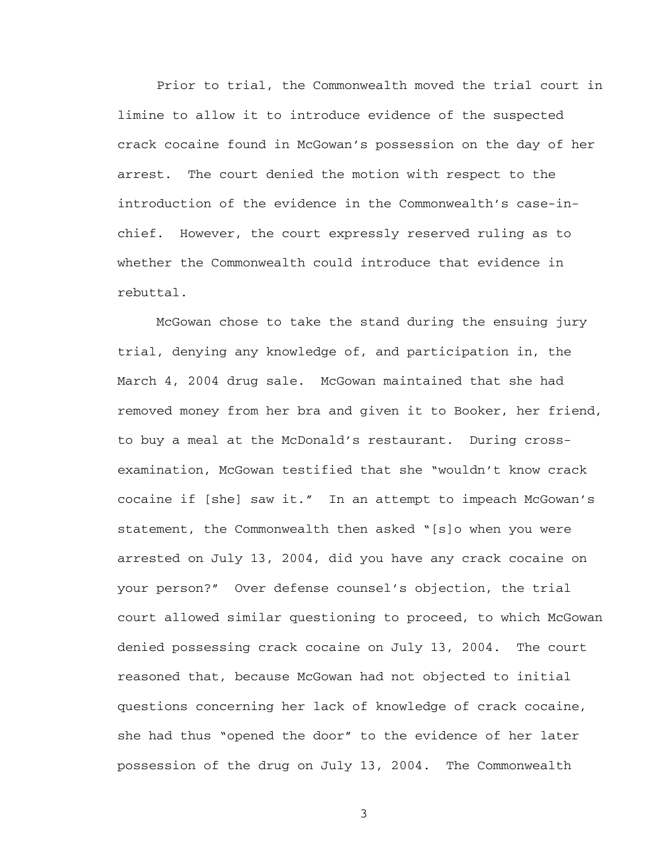Prior to trial, the Commonwealth moved the trial court in limine to allow it to introduce evidence of the suspected crack cocaine found in McGowan's possession on the day of her arrest. The court denied the motion with respect to the introduction of the evidence in the Commonwealth's case-inchief. However, the court expressly reserved ruling as to whether the Commonwealth could introduce that evidence in rebuttal.

McGowan chose to take the stand during the ensuing jury trial, denying any knowledge of, and participation in, the March 4, 2004 drug sale. McGowan maintained that she had removed money from her bra and given it to Booker, her friend, to buy a meal at the McDonald's restaurant. During crossexamination, McGowan testified that she "wouldn't know crack cocaine if [she] saw it." In an attempt to impeach McGowan's statement, the Commonwealth then asked "[s]o when you were arrested on July 13, 2004, did you have any crack cocaine on your person?" Over defense counsel's objection, the trial court allowed similar questioning to proceed, to which McGowan denied possessing crack cocaine on July 13, 2004. The court reasoned that, because McGowan had not objected to initial questions concerning her lack of knowledge of crack cocaine, she had thus "opened the door" to the evidence of her later possession of the drug on July 13, 2004. The Commonwealth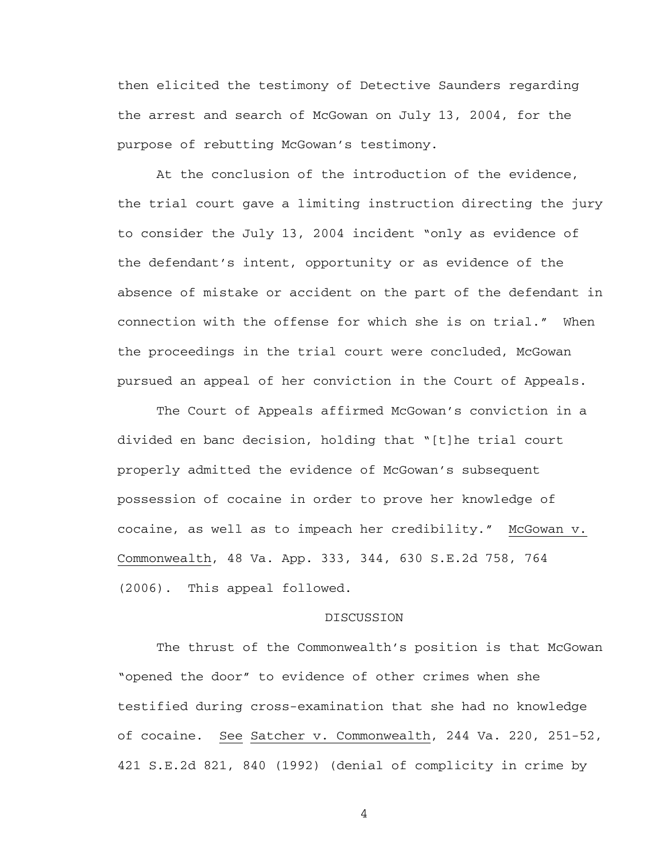then elicited the testimony of Detective Saunders regarding the arrest and search of McGowan on July 13, 2004, for the purpose of rebutting McGowan's testimony.

At the conclusion of the introduction of the evidence, the trial court gave a limiting instruction directing the jury to consider the July 13, 2004 incident "only as evidence of the defendant's intent, opportunity or as evidence of the absence of mistake or accident on the part of the defendant in connection with the offense for which she is on trial." When the proceedings in the trial court were concluded, McGowan pursued an appeal of her conviction in the Court of Appeals.

The Court of Appeals affirmed McGowan's conviction in a divided en banc decision, holding that "[t]he trial court properly admitted the evidence of McGowan's subsequent possession of cocaine in order to prove her knowledge of cocaine, as well as to impeach her credibility." McGowan v. Commonwealth, 48 Va. App. 333, 344, 630 S.E.2d 758, 764 (2006). This appeal followed.

## DISCUSSION

The thrust of the Commonwealth's position is that McGowan "opened the door" to evidence of other crimes when she testified during cross-examination that she had no knowledge of cocaine. See Satcher v. Commonwealth, 244 Va. 220, 251-52, 421 S.E.2d 821, 840 (1992) (denial of complicity in crime by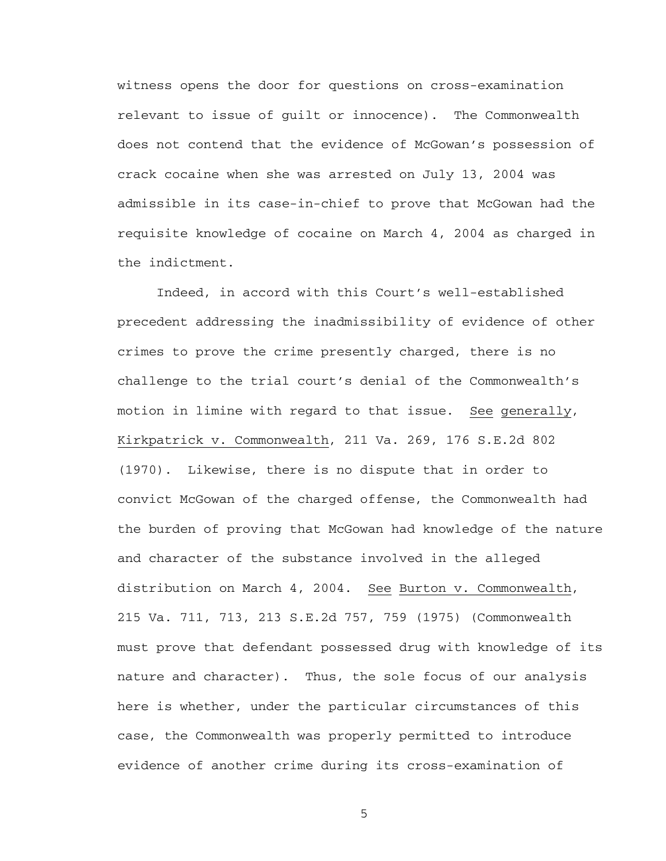witness opens the door for questions on cross-examination relevant to issue of guilt or innocence). The Commonwealth does not contend that the evidence of McGowan's possession of crack cocaine when she was arrested on July 13, 2004 was admissible in its case-in-chief to prove that McGowan had the requisite knowledge of cocaine on March 4, 2004 as charged in the indictment.

Indeed, in accord with this Court's well-established precedent addressing the inadmissibility of evidence of other crimes to prove the crime presently charged, there is no challenge to the trial court's denial of the Commonwealth's motion in limine with regard to that issue. See generally, Kirkpatrick v. Commonwealth, 211 Va. 269, 176 S.E.2d 802 (1970). Likewise, there is no dispute that in order to convict McGowan of the charged offense, the Commonwealth had the burden of proving that McGowan had knowledge of the nature and character of the substance involved in the alleged distribution on March 4, 2004. See Burton v. Commonwealth, 215 Va. 711, 713, 213 S.E.2d 757, 759 (1975) (Commonwealth must prove that defendant possessed drug with knowledge of its nature and character). Thus, the sole focus of our analysis here is whether, under the particular circumstances of this case, the Commonwealth was properly permitted to introduce evidence of another crime during its cross-examination of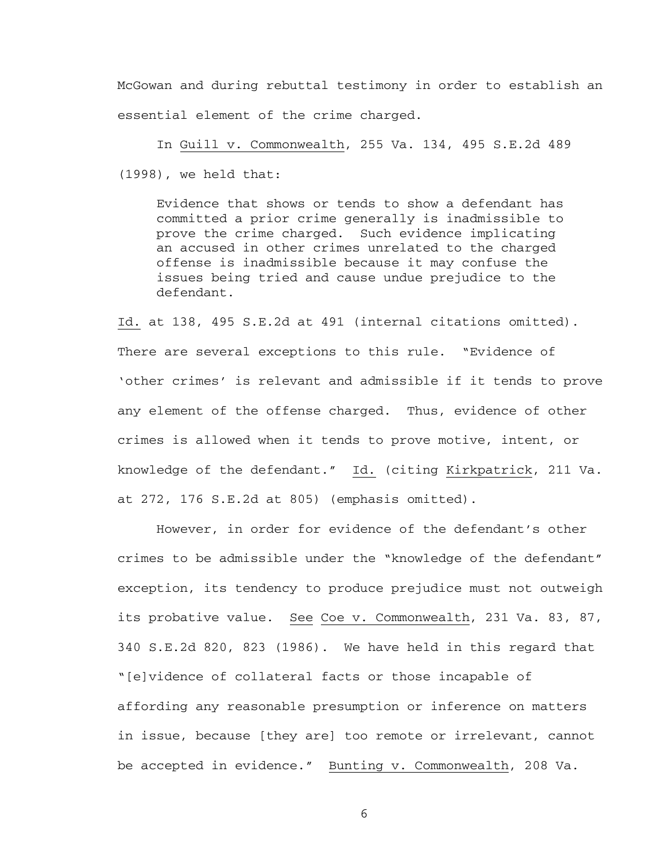McGowan and during rebuttal testimony in order to establish an essential element of the crime charged.

In Guill v. Commonwealth, 255 Va. 134, 495 S.E.2d 489 (1998), we held that:

Evidence that shows or tends to show a defendant has committed a prior crime generally is inadmissible to prove the crime charged. Such evidence implicating an accused in other crimes unrelated to the charged offense is inadmissible because it may confuse the issues being tried and cause undue prejudice to the defendant.

Id. at 138, 495 S.E.2d at 491 (internal citations omitted). There are several exceptions to this rule. "Evidence of 'other crimes' is relevant and admissible if it tends to prove any element of the offense charged. Thus, evidence of other crimes is allowed when it tends to prove motive, intent, or knowledge of the defendant." Id. (citing Kirkpatrick, 211 Va. at 272, 176 S.E.2d at 805) (emphasis omitted).

However, in order for evidence of the defendant's other crimes to be admissible under the "knowledge of the defendant" exception, its tendency to produce prejudice must not outweigh its probative value. See Coe v. Commonwealth, 231 Va. 83, 87, 340 S.E.2d 820, 823 (1986). We have held in this regard that "[e]vidence of collateral facts or those incapable of affording any reasonable presumption or inference on matters in issue, because [they are] too remote or irrelevant, cannot be accepted in evidence." Bunting v. Commonwealth, 208 Va.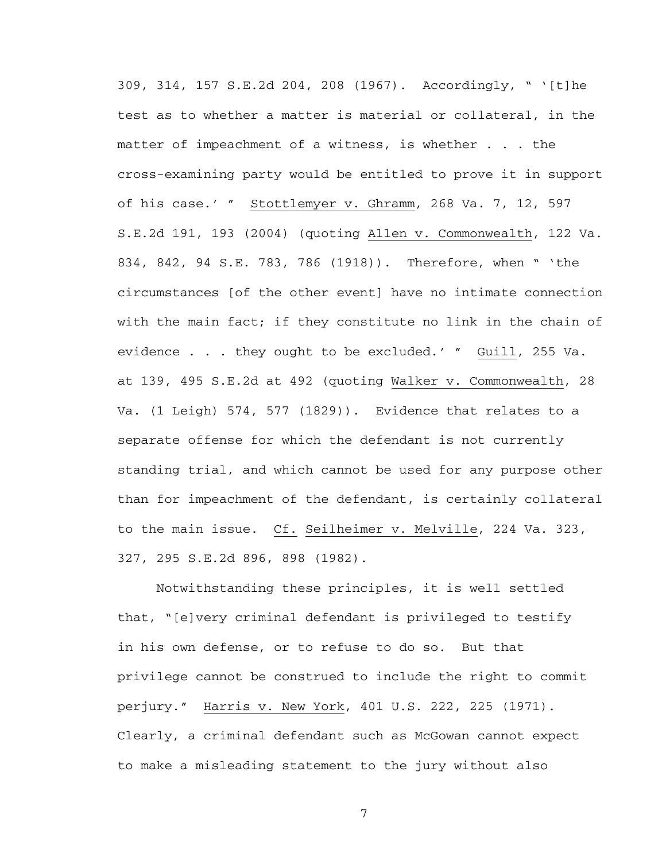309, 314, 157 S.E.2d 204, 208 (1967). Accordingly, " '[t]he test as to whether a matter is material or collateral, in the matter of impeachment of a witness, is whether . . . the cross-examining party would be entitled to prove it in support of his case.' " Stottlemyer v. Ghramm, 268 Va. 7, 12, 597 S.E.2d 191, 193 (2004) (quoting Allen v. Commonwealth, 122 Va. 834, 842, 94 S.E. 783, 786 (1918)). Therefore, when " 'the circumstances [of the other event] have no intimate connection with the main fact; if they constitute no link in the chain of evidence . . . they ought to be excluded.' " Guill, 255 Va. at 139, 495 S.E.2d at 492 (quoting Walker v. Commonwealth, 28 Va. (1 Leigh) 574, 577 (1829)). Evidence that relates to a separate offense for which the defendant is not currently standing trial, and which cannot be used for any purpose other than for impeachment of the defendant, is certainly collateral to the main issue. Cf. Seilheimer v. Melville, 224 Va. 323, 327, 295 S.E.2d 896, 898 (1982).

Notwithstanding these principles, it is well settled that, "[e]very criminal defendant is privileged to testify in his own defense, or to refuse to do so. But that privilege cannot be construed to include the right to commit perjury." Harris v. New York, 401 U.S. 222, 225 (1971). Clearly, a criminal defendant such as McGowan cannot expect to make a misleading statement to the jury without also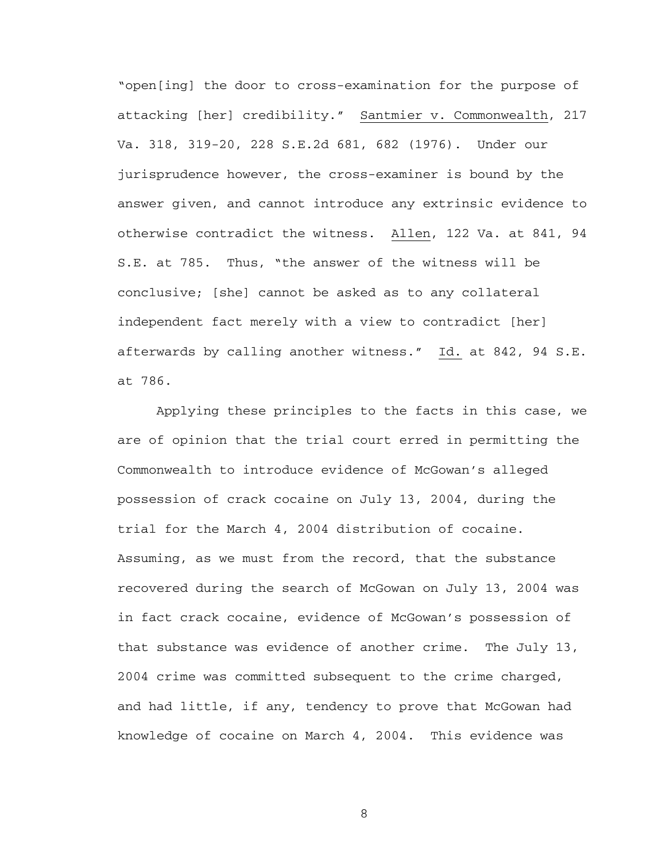"open[ing] the door to cross-examination for the purpose of attacking [her] credibility." Santmier v. Commonwealth, 217 Va. 318, 319-20, 228 S.E.2d 681, 682 (1976). Under our jurisprudence however, the cross-examiner is bound by the answer given, and cannot introduce any extrinsic evidence to otherwise contradict the witness. Allen, 122 Va. at 841, 94 S.E. at 785. Thus, "the answer of the witness will be conclusive; [she] cannot be asked as to any collateral independent fact merely with a view to contradict [her] afterwards by calling another witness." Id. at 842, 94 S.E. at 786.

Applying these principles to the facts in this case, we are of opinion that the trial court erred in permitting the Commonwealth to introduce evidence of McGowan's alleged possession of crack cocaine on July 13, 2004, during the trial for the March 4, 2004 distribution of cocaine. Assuming, as we must from the record, that the substance recovered during the search of McGowan on July 13, 2004 was in fact crack cocaine, evidence of McGowan's possession of that substance was evidence of another crime. The July 13, 2004 crime was committed subsequent to the crime charged, and had little, if any, tendency to prove that McGowan had knowledge of cocaine on March 4, 2004. This evidence was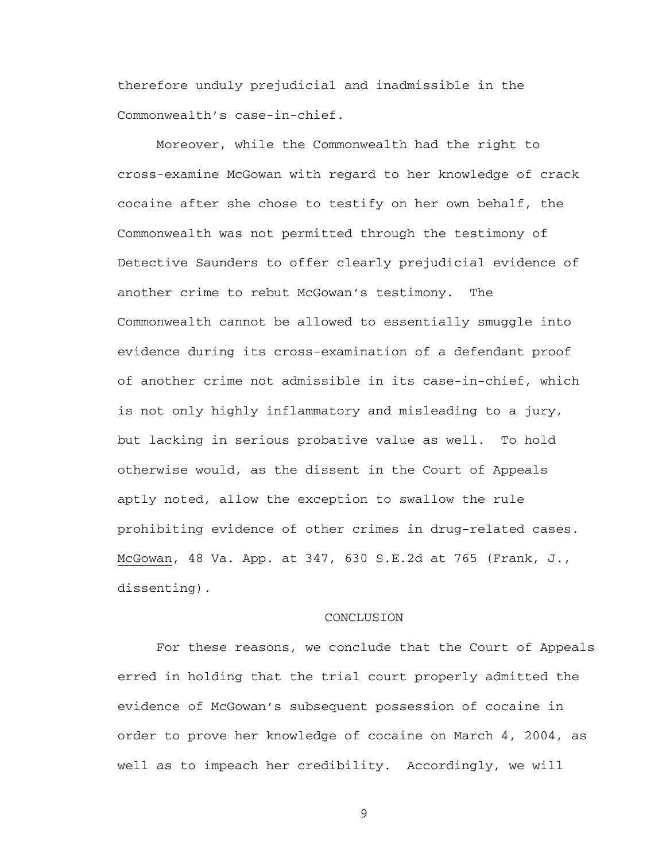therefore unduly prejudicial and inadmissible in the Commonwealth's case-in-chief.

Moreover, while the Commonwealth had the right to cross-examine McGowan with regard to her knowledge of crack cocaine after she chose to testify on her own behalf, the Commonwealth was not permitted through the testimony of Detective Saunders to offer clearly prejudicial evidence of another crime to rebut McGowan's testimony. The Commonwealth cannot be allowed to essentially smuggle into evidence during its cross-examination of a defendant proof of another crime not admissible in its case-in-chief, which is not only highly inflammatory and misleading to a jury, but lacking in serious probative value as well. To hold otherwise would, as the dissent in the Court of Appeals aptly noted, allow the exception to swallow the rule prohibiting evidence of other crimes in drug-related cases. McGowan, 48 Va. App. at 347, 630 S.E.2d at 765 (Frank, J., dissenting).

## CONCLUSION

For these reasons, we conclude that the Court of Appeals erred in holding that the trial court properly admitted the evidence of McGowan's subsequent possession of cocaine in order to prove her knowledge of cocaine on March 4, 2004, as well as to impeach her credibility. Accordingly, we will